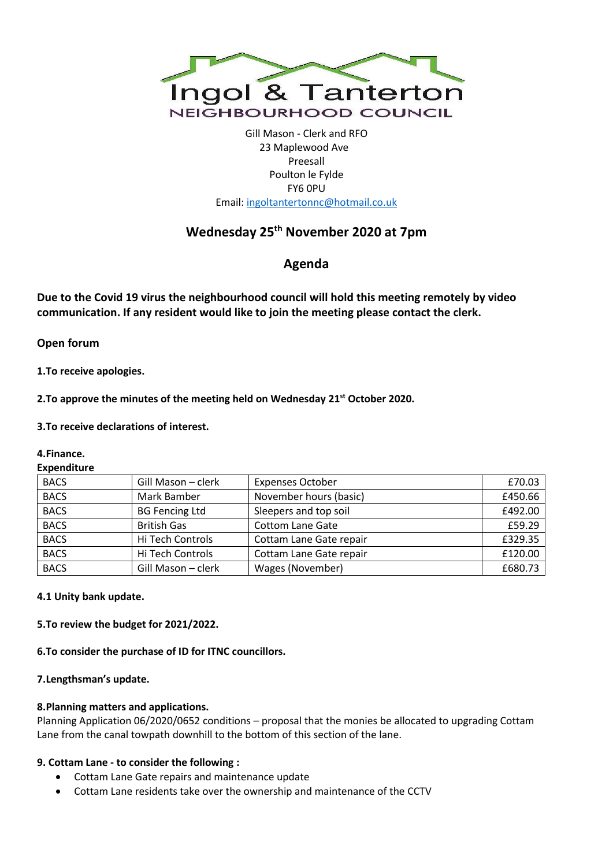

Gill Mason - Clerk and RFO 23 Maplewood Ave Preesall Poulton le Fylde FY6 0PU Email[: ingoltantertonnc@hotmail.co.uk](mailto:ingoltantertonnc@hotmail.co.uk)

# **Wednesday 25th November 2020 at 7pm**

**Agenda**

**Due to the Covid 19 virus the neighbourhood council will hold this meeting remotely by video communication. If any resident would like to join the meeting please contact the clerk.**

**Open forum**

**1.To receive apologies.**

**2.To approve the minutes of the meeting held on Wednesday 21st October 2020.**

### **3.To receive declarations of interest.**

### **4.Finance.**

#### **Expenditure**

| <b>BACS</b> | Gill Mason - clerk    | <b>Expenses October</b> | £70.03  |
|-------------|-----------------------|-------------------------|---------|
| <b>BACS</b> | Mark Bamber           | November hours (basic)  | £450.66 |
| <b>BACS</b> | <b>BG Fencing Ltd</b> | Sleepers and top soil   | £492.00 |
| <b>BACS</b> | <b>British Gas</b>    | <b>Cottom Lane Gate</b> | £59.29  |
| <b>BACS</b> | Hi Tech Controls      | Cottam Lane Gate repair | £329.35 |
| <b>BACS</b> | Hi Tech Controls      | Cottam Lane Gate repair | £120.00 |
| <b>BACS</b> | Gill Mason - clerk    | Wages (November)        | £680.73 |

**4.1 Unity bank update.**

**5.To review the budget for 2021/2022.**

**6.To consider the purchase of ID for ITNC councillors.**

### **7.Lengthsman's update.**

### **8.Planning matters and applications.**

Planning Application 06/2020/0652 conditions – proposal that the monies be allocated to upgrading Cottam Lane from the canal towpath downhill to the bottom of this section of the lane.

### **9. Cottam Lane - to consider the following :**

- Cottam Lane Gate repairs and maintenance update
- Cottam Lane residents take over the ownership and maintenance of the CCTV